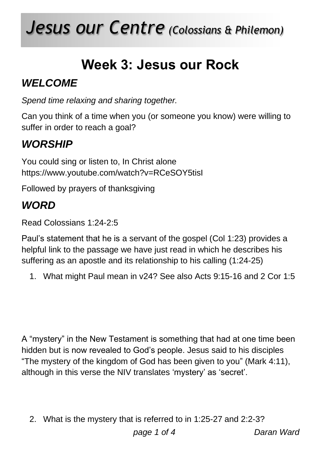# *Jesus our Centre (Colossians & Philemon)*

### **Week 3: Jesus our Rock**

#### *WELCOME*

*Spend time relaxing and sharing together.*

Can you think of a time when you (or someone you know) were willing to suffer in order to reach a goal?

#### *WORSHIP*

You could sing or listen to, In Christ alone https://www.youtube.com/watch?v=RCeSOY5tisI

Followed by prayers of thanksgiving

#### *WORD*

Read Colossians 1:24-2:5

Paul's statement that he is a servant of the gospel (Col 1:23) provides a helpful link to the passage we have just read in which he describes his suffering as an apostle and its relationship to his calling (1:24-25)

1. What might Paul mean in v24? See also Acts 9:15-16 and 2 Cor 1:5

A "mystery" in the New Testament is something that had at one time been hidden but is now revealed to God's people. Jesus said to his disciples "The mystery of the kingdom of God has been given to you" (Mark 4:11), although in this verse the NIV translates 'mystery' as 'secret'.

2. What is the mystery that is referred to in 1:25-27 and 2:2-3?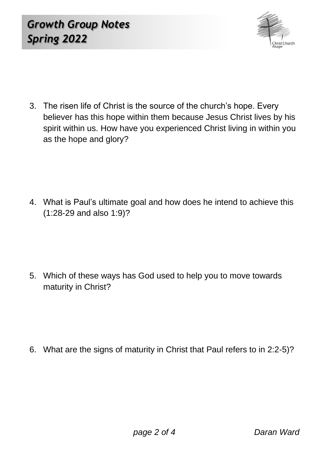

3. The risen life of Christ is the source of the church's hope. Every believer has this hope within them because Jesus Christ lives by his spirit within us. How have you experienced Christ living in within you as the hope and glory?

4. What is Paul's ultimate goal and how does he intend to achieve this (1:28-29 and also 1:9)?

5. Which of these ways has God used to help you to move towards maturity in Christ?

6. What are the signs of maturity in Christ that Paul refers to in 2:2-5)?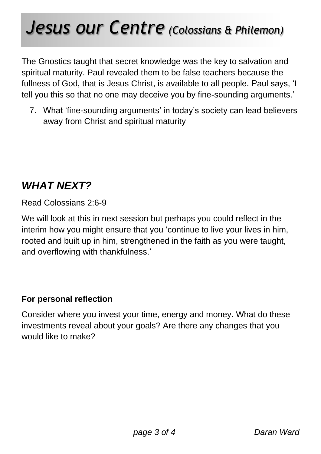## *Jesus our Centre (Colossians & Philemon)*

The Gnostics taught that secret knowledge was the key to salvation and spiritual maturity. Paul revealed them to be false teachers because the fullness of God, that is Jesus Christ, is available to all people. Paul says, 'I tell you this so that no one may deceive you by fine-sounding arguments.'

7. What 'fine-sounding arguments' in today's society can lead believers away from Christ and spiritual maturity

#### *WHAT NEXT?*

Read Colossians 2:6-9

We will look at this in next session but perhaps you could reflect in the interim how you might ensure that you 'continue to live your lives in him, rooted and built up in him, strengthened in the faith as you were taught, and overflowing with thankfulness.'

#### **For personal reflection**

Consider where you invest your time, energy and money. What do these investments reveal about your goals? Are there any changes that you would like to make?